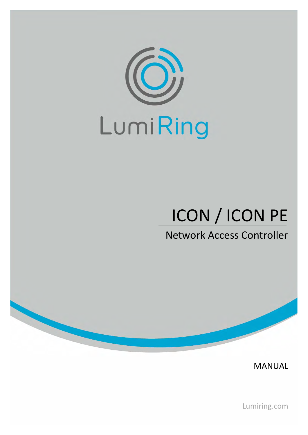

# ICON / ICON PE

Network Access Controller

MANUAL

Lumiring.com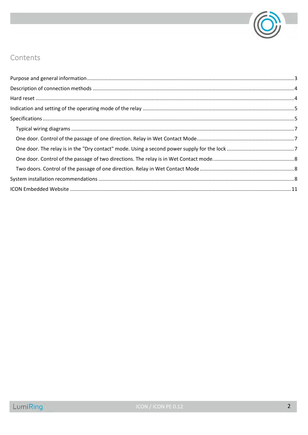

# Contents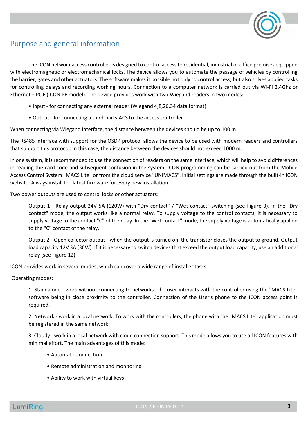

# <span id="page-2-0"></span>Purpose and general information

The ICON network access controller is designed to control access to residential, industrial or office premises equipped with electromagnetic or electromechanical locks. The device allows you to automate the passage of vehicles by controlling the barrier, gates and other actuators. The software makes it possible not only to control access, but also solves applied tasks for controlling delays and recording working hours. Connection to a computer network is carried out via Wi-Fi 2.4Ghz or Ethernet + POE (ICON PE model). The device provides work with two Wiegand readers in two modes:

- Input for connecting any external reader (Wiegand 4,8,26,34 data format)
- Output for connecting a third-party ACS to the access controller

When connecting via Wiegand interface, the distance between the devices should be up to 100 m.

The RS485 interface with support for the OSDP protocol allows the device to be used with modern readers and controllers that support this protocol. In this case, the distance between the devices should not exceed 1000 m.

In one system, it is recommended to use the connection of readers on the same interface, which will help to avoid differences in reading the card code and subsequent confusion in the system. ICON programming can be carried out from the Mobile Access Control System "MACS Lite" or from the cloud service "UNIMACS". Initial settings are made through the built-in ICON website. Always install the latest firmware for every new installation.

Two power outputs are used to control locks or other actuators:

Output 1 - Relay output 24V 5A (120W) with "Dry contact" / "Wet contact" switching (see Figure 3). In the "Dry contact" mode, the output works like a normal relay. To supply voltage to the control contacts, it is necessary to supply voltage to the contact "C" of the relay. In the "Wet contact" mode, the supply voltage is automatically applied to the "C" contact of the relay.

Output 2 - Open collector output - when the output is turned on, the transistor closes the output to ground. Output load capacity 12V 3A (36W). If it is necessary to switch devices that exceed the output load capacity, use an additional relay (see Figure 12)

ICON provides work in several modes, which can cover a wide range of installer tasks.

Operating modes:

1. Standalone - work without connecting to networks. The user interacts with the controller using the "MACS Lite" software being in close proximity to the controller. Connection of the User's phone to the ICON access point is required.

2. Network - work in a local network. To work with the controllers, the phone with the "MACS Lite" application must be registered in the same network.

3. Cloudy - work in a local network with cloud connection support. This mode allows you to use all ICON features with minimal effort. The main advantages of this mode:

- Automatic connection
- Remote administration and monitoring
- Ability to work with virtual keys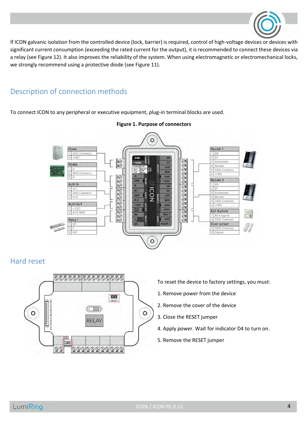

If ICON galvanic isolation from the controlled device (lock, barrier) is required, control of high-voltage devices or devices with significant current consumption (exceeding the rated current for the output), it is recommended to connect these devices via a relay (see Figure 12). It also improves the reliability of the system. When using electromagnetic or electromechanical locks, we strongly recommend using a protective diode (see Figure 11).

# <span id="page-3-0"></span>Description of connection methods

To connect ICON to any peripheral or executive equipment, plug-in terminal blocks are used.



## **Figure 1. Purpose of connectors**

## <span id="page-3-1"></span>Hard reset



To reset the device to factory settings, you must:

- 1. Remove power from the device
- 2. Remove the cover of the device
- 3. Close the RESET jumper
- 4. Apply power. Wait for indicator D4 to turn on.
- 5. Remove the RESET jumper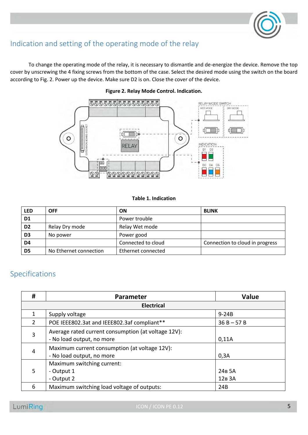

# <span id="page-4-0"></span>Indication and setting of the operating mode of the relay

To change the operating mode of the relay, it is necessary to dismantle and de-energize the device. Remove the top cover by unscrewing the 4 fixing screws from the bottom of the case. Select the desired mode using the switch on the board according to Fig. 2. Power up the device. Make sure D2 is on. Close the cover of the device.



## **Figure 2. Relay Mode Control. Indication.**

### **Table 1. Indication**

| <b>LED</b>     | <b>OFF</b>             | <b>ON</b>          | <b>BLINK</b>                    |
|----------------|------------------------|--------------------|---------------------------------|
| D <sub>1</sub> |                        | Power trouble      |                                 |
| D <sub>2</sub> | Relay Dry mode         | Relay Wet mode     |                                 |
| D <sub>3</sub> | No power               | Power good         |                                 |
| D <sub>4</sub> |                        | Connected to cloud | Connection to cloud in progress |
| D <sub>5</sub> | No Ethernet connection | Ethernet connected |                                 |

# <span id="page-4-1"></span>Specifications

| #                 | Parameter                                                                        | <b>Value</b>                             |  |  |
|-------------------|----------------------------------------------------------------------------------|------------------------------------------|--|--|
| <b>Electrical</b> |                                                                                  |                                          |  |  |
|                   | Supply voltage<br>$9-24B$                                                        |                                          |  |  |
| $\mathcal{P}$     | POE IEEE802.3at and IEEE802.3af compliant**                                      | $36 B - 57 B$                            |  |  |
| 3                 | Average rated current consumption (at voltage 12V):<br>- No load output, no more | 0,11A                                    |  |  |
| 4                 | Maximum current consumption (at voltage 12V):<br>- No load output, no more       | 0,3A                                     |  |  |
| 5.                | Maximum switching current:<br>- Output 1<br>- Output 2                           | 24 <sub>B</sub> 5A<br>12 <sub>B</sub> 3A |  |  |
| 6                 | Maximum switching load voltage of outputs:                                       | 24B                                      |  |  |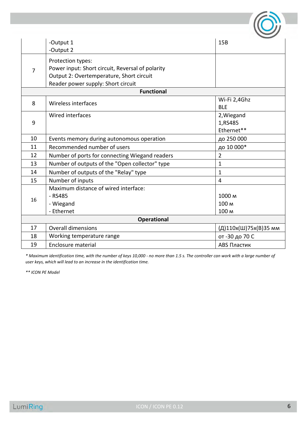|                | -Output 1                                                        | 15B                   |  |  |
|----------------|------------------------------------------------------------------|-----------------------|--|--|
|                | -Output 2                                                        |                       |  |  |
|                | Protection types:                                                |                       |  |  |
| $\overline{7}$ | Power input: Short circuit, Reversal of polarity                 |                       |  |  |
|                | Output 2: Overtemperature, Short circuit                         |                       |  |  |
|                | Reader power supply: Short circuit                               |                       |  |  |
|                | <b>Functional</b>                                                |                       |  |  |
| 8              | Wireless interfaces                                              | Wi-Fi 2,4Ghz          |  |  |
|                |                                                                  | <b>BLE</b>            |  |  |
|                | Wired interfaces                                                 | 2, Wiegand            |  |  |
| 9              |                                                                  | 1,RS485               |  |  |
|                |                                                                  | Ethernet**            |  |  |
| 10             | до 250 000<br>Events memory during autonomous operation          |                       |  |  |
| 11             | Recommended number of users<br>до 10 000*                        |                       |  |  |
| 12             | Number of ports for connecting Wiegand readers<br>$\overline{2}$ |                       |  |  |
| 13             | Number of outputs of the "Open collector" type<br>$\mathbf{1}$   |                       |  |  |
| 14             | Number of outputs of the "Relay" type<br>$\mathbf 1$             |                       |  |  |
| 15             | Number of inputs<br>$\overline{4}$                               |                       |  |  |
|                | Maximum distance of wired interface:                             |                       |  |  |
| 16             | $-RS485$                                                         | 1000 M                |  |  |
|                | - Wiegand                                                        | 100 M                 |  |  |
|                | - Ethernet                                                       | 100 M                 |  |  |
|                | <b>Operational</b>                                               |                       |  |  |
| 17             | <b>Overall dimensions</b>                                        | (Д)110x(Ш)75x(В)35 мм |  |  |
| 18             | Working temperature range                                        | от -30 до 70 С        |  |  |
| 19             | Enclosure material<br>ABS Пластик                                |                       |  |  |

*\* Maximum identification time, with the number of keys 10,000 - no more than 1.5 s. The controller can work with a large number of user keys, which will lead to an increase in the identification time.*

*\*\* ICON PE Model*

W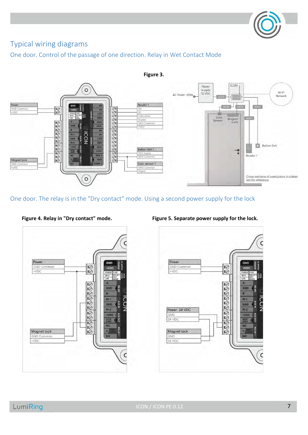

# <span id="page-6-0"></span>Typical wiring diagrams

<span id="page-6-1"></span>One door. Control of the passage of one direction. Relay in Wet Contact Mode



<span id="page-6-2"></span>One door. The relay is in the "Dry contact" mode. Using a second power supply for the lock





 **Figure 4. Relay in "Dry contact" mode. Figure 5. Separate power supply for the lock.**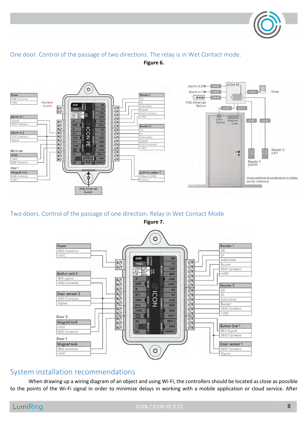

## <span id="page-7-0"></span>One door. Control of the passage of two directions. The relay is in Wet Contact mode. **Figure 6.**



## <span id="page-7-1"></span>Two doors. Control of the passage of one direction. Relay in Wet Contact Mode **Figure 7.**



## <span id="page-7-2"></span>System installation recommendations

When drawing up a wiring diagram of an object and using Wi-Fi, the controllers should be located as close as possible to the points of the Wi-Fi signal in order to minimize delays in working with a mobile application or cloud service. After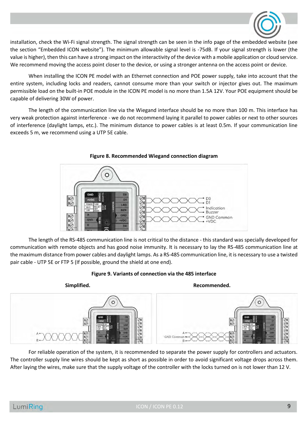

installation, check the Wi-Fi signal strength. The signal strength can be seen in the info page of the embedded website (see the section "Embedded ICON website"). The minimum allowable signal level is -75dB. If your signal strength is lower (the value is higher), then this can have a strong impact on the interactivity of the device with a mobile application or cloud service. We recommend moving the access point closer to the device, or using a stronger antenna on the access point or device.

When installing the ICON PE model with an Ethernet connection and POE power supply, take into account that the entire system, including locks and readers, cannot consume more than your switch or injector gives out. The maximum permissible load on the built-in POE module in the ICON PE model is no more than 1.5A 12V. Your POE equipment should be capable of delivering 30W of power.

The length of the communication line via the Wiegand interface should be no more than 100 m. This interface has very weak protection against interference - we do not recommend laying it parallel to power cables or next to other sources of interference (daylight lamps, etc.). The minimum distance to power cables is at least 0.5m. If your communication line exceeds 5 m, we recommend using a UTP 5E cable.





The length of the RS-485 communication line is not critical to the distance - this standard was specially developed for communication with remote objects and has good noise immunity. It is necessary to lay the RS-485 communication line at the maximum distance from power cables and daylight lamps. As a RS-485 communication line, it is necessary to use a twisted pair cable - UTP 5E or FTP 5 (If possible, ground the shield at one end).





For reliable operation of the system, it is recommended to separate the power supply for controllers and actuators. The controller supply line wires should be kept as short as possible in order to avoid significant voltage drops across them. After laying the wires, make sure that the supply voltage of the controller with the locks turned on is not lower than 12 V.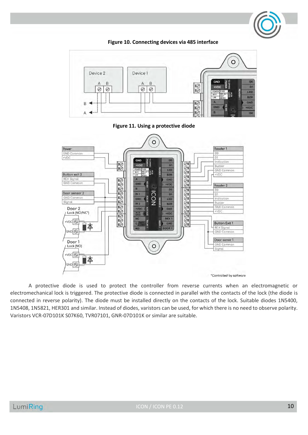



**Figure 10. Connecting devices via 485 interface**

A protective diode is used to protect the controller from reverse currents when an electromagnetic or electromechanical lock is triggered. The protective diode is connected in parallel with the contacts of the lock (the diode is connected in reverse polarity). The diode must be installed directly on the contacts of the lock. Suitable diodes 1N5400, 1N5408, 1N5821, HER301 and similar. Instead of diodes, varistors can be used, for which there is no need to observe polarity. Varistors VCR-07D101K S07K60, TVR07101, GNR-07D101K or similar are suitable.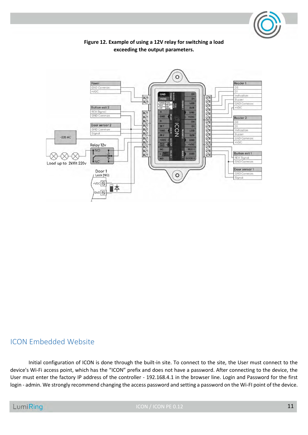



**Figure 12. Example of using a 12V relay for switching a load exceeding the output parameters.**

## <span id="page-10-0"></span>ICON Embedded Website

Initial configuration of ICON is done through the built-in site. To connect to the site, the User must connect to the device's Wi-Fi access point, which has the "ICON" prefix and does not have a password. After connecting to the device, the User must enter the factory IP address of the controller - 192.168.4.1 in the browser line. Login and Password for the first login - admin. We strongly recommend changing the access password and setting a password on the Wi-FI point of the device.

ICON / ICON PE 0.12 11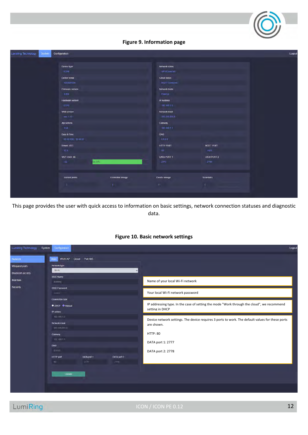**Figure 9. Information page**

| <b>Lumining Technology</b><br>System | Configuration                                        |                                                                      |                                                |                               | Logout |
|--------------------------------------|------------------------------------------------------|----------------------------------------------------------------------|------------------------------------------------|-------------------------------|--------|
|                                      | Device type<br><b>ICON</b>                           |                                                                      | Network status<br><b>WIFI Connected</b>        |                               |        |
|                                      | Device serial<br>1635694996                          |                                                                      |                                                | Cloud status<br>MOTT Conected |        |
|                                      | Firmware version<br>1.004<br><b>Hardware version</b> |                                                                      | Network mode<br>Fixed (p)<br><b>IP Address</b> |                               |        |
|                                      | 0.010<br>Web version                                 |                                                                      | 192.168.1-5<br>Network mask                    |                               |        |
|                                      | ver. 1.10<br>Api version                             |                                                                      | 255 255 255 0<br>Gateway                       |                               |        |
|                                      | $+0.4$<br>Date & Time<br>26/10/2021 10:40:29         |                                                                      | 192.158.1.1<br><b>DNS</b><br>00.00             |                               |        |
|                                      | Power, VDC<br>$12.3 -$                               |                                                                      | <b>HTTP PORT</b><br>80                         | <b>MOTT PORT</b><br>1883      |        |
|                                      | Wi-Fi level, db<br>$-42$                             | 88.33%                                                               | DATA PORT 1<br>2777                            | DATA PORT 2<br>2778           |        |
|                                      | <b>Control points</b><br>$\mathbf{2}$                | Credential storage<br>$\mathbf{0}$ and $\mathbf{0}$ and $\mathbf{0}$ | Events storage<br>01                           | <b>Schedules</b><br>n.        |        |
|                                      |                                                      |                                                                      |                                                |                               |        |

This page provides the user with quick access to information on basic settings, network connection statuses and diagnostic data.

## **Figure 10. Basic network settings**

| Lumiring Technology<br>System       | Configuration                                                                                |                     |                     | Logout                                                                                                         |
|-------------------------------------|----------------------------------------------------------------------------------------------|---------------------|---------------------|----------------------------------------------------------------------------------------------------------------|
| Network<br>Wiegand ports            | Wi-FIAP Cloud Port 485<br>Main<br>Network type                                               |                     |                     |                                                                                                                |
| <b>Bluetooth access</b><br>Maintain | Wi-Fi<br>v<br><b>SSID Name</b><br>luming:                                                    |                     |                     | Name of your local Wi-Fi network                                                                               |
| Security                            | SSID Password<br>-<br>Connection type:<br><b>O DHCP O Manual</b><br>IP addres<br>192.168.1.5 |                     |                     | Your local Wi-Fi network password                                                                              |
|                                     |                                                                                              |                     |                     | IP addressing type. In the case of setting the mode "Work through the cloud", we recommend<br>setting in DHCP  |
|                                     | Network mask<br>255 255 255 0                                                                |                     |                     | Device network settings. The device requires 3 ports to work. The default values for these ports<br>are shown. |
|                                     | Gateway<br>192.155.1.1<br>DNS                                                                |                     |                     | <b>HTTP: 80</b><br>DATA port 1: 2777                                                                           |
|                                     | 8888<br>HTTP port<br><b>DO</b>                                                               | DATA port 1<br>2777 | DATA port 2<br>2770 | DATA port 2: 2778                                                                                              |
|                                     | <b>Update</b>                                                                                |                     |                     |                                                                                                                |
|                                     |                                                                                              |                     |                     |                                                                                                                |

LumiRing

ICON / ICON PE 0.12 12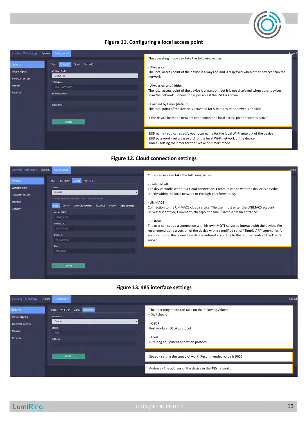

### **Figure 11. Configuring a local access point**



#### **Figure 12. Cloud connection settings**



#### **Figure 13. 485 interface settings**

| Lumiring Technology                                                         | Configuration<br>System                                                                           | Logout                                                                                                                                                                                               |
|-----------------------------------------------------------------------------|---------------------------------------------------------------------------------------------------|------------------------------------------------------------------------------------------------------------------------------------------------------------------------------------------------------|
| Network<br>Wiegand ports<br><b>Bluetooth access</b><br>Maintain<br>Security | Wi-Fi AP Cloud Port 485<br>Main<br>Workmode<br><b>Disable</b><br>Speed<br>Auto:<br><b>Address</b> | The operating mode can take on the following values:<br>- Switched off<br>$\sim$<br>- OSDP<br>Port works in OSDP protocol<br>$\overline{M}$<br>- Own<br>Lumiring equipment operation protocol.<br>v. |
|                                                                             | <b>Update</b>                                                                                     | Speed - setting the speed of work. Recommended value is 9600.                                                                                                                                        |
|                                                                             |                                                                                                   | Address - The address of the device in the 485 network.                                                                                                                                              |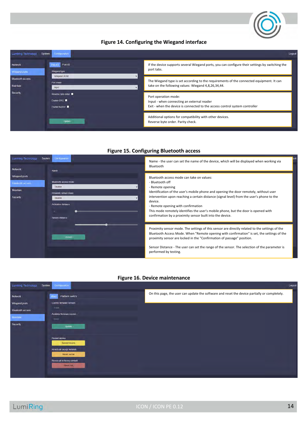

#### **Figure 14. Configuring the Wiegand interface**



#### **Figure 15. Configuring Bluetooth access**



#### **Figure 16. Device maintenance**